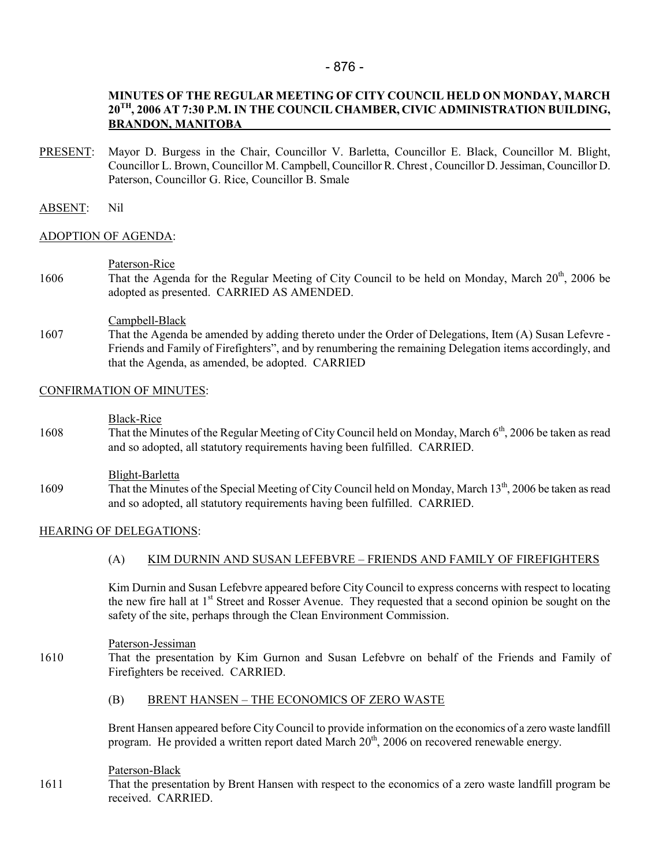## - 876 -

## MINUTES OF THE REGULAR MEETING OF CITY COUNCIL HELD ON MONDAY, MARCH 20TH, 2006 AT 7:30 P.M. IN THE COUNCIL CHAMBER, CIVIC ADMINISTRATION BUILDING, BRANDON, MANITOBA

PRESENT: Mayor D. Burgess in the Chair, Councillor V. Barletta, Councillor E. Black, Councillor M. Blight, Councillor L. Brown, Councillor M. Campbell, Councillor R. Chrest , Councillor D. Jessiman, Councillor D. Paterson, Councillor G. Rice, Councillor B. Smale

### ABSENT: Nil

### ADOPTION OF AGENDA:

- Paterson-Rice
- 1606 That the Agenda for the Regular Meeting of City Council to be held on Monday, March 20<sup>th</sup>, 2006 be adopted as presented. CARRIED AS AMENDED.

### Campbell-Black

1607 That the Agenda be amended by adding thereto under the Order of Delegations, Item (A) Susan Lefevre - Friends and Family of Firefighters", and by renumbering the remaining Delegation items accordingly, and that the Agenda, as amended, be adopted. CARRIED

## CONFIRMATION OF MINUTES:

#### Black-Rice

1608 That the Minutes of the Regular Meeting of City Council held on Monday, March 6<sup>th</sup>, 2006 be taken as read and so adopted, all statutory requirements having been fulfilled. CARRIED.

#### Blight-Barletta

1609 That the Minutes of the Special Meeting of City Council held on Monday, March 13<sup>th</sup>, 2006 be taken as read and so adopted, all statutory requirements having been fulfilled. CARRIED.

### HEARING OF DELEGATIONS:

### (A) KIM DURNIN AND SUSAN LEFEBVRE – FRIENDS AND FAMILY OF FIREFIGHTERS

Kim Durnin and Susan Lefebvre appeared before City Council to express concerns with respect to locating the new fire hall at 1<sup>st</sup> Street and Rosser Avenue. They requested that a second opinion be sought on the safety of the site, perhaps through the Clean Environment Commission.

### Paterson-Jessiman

1610 That the presentation by Kim Gurnon and Susan Lefebvre on behalf of the Friends and Family of Firefighters be received. CARRIED.

### (B) BRENT HANSEN – THE ECONOMICS OF ZERO WASTE

Brent Hansen appeared before City Council to provide information on the economics of a zero waste landfill program. He provided a written report dated March  $20<sup>th</sup>$ ,  $2006$  on recovered renewable energy.

### Paterson-Black

1611 That the presentation by Brent Hansen with respect to the economics of a zero waste landfill program be received. CARRIED.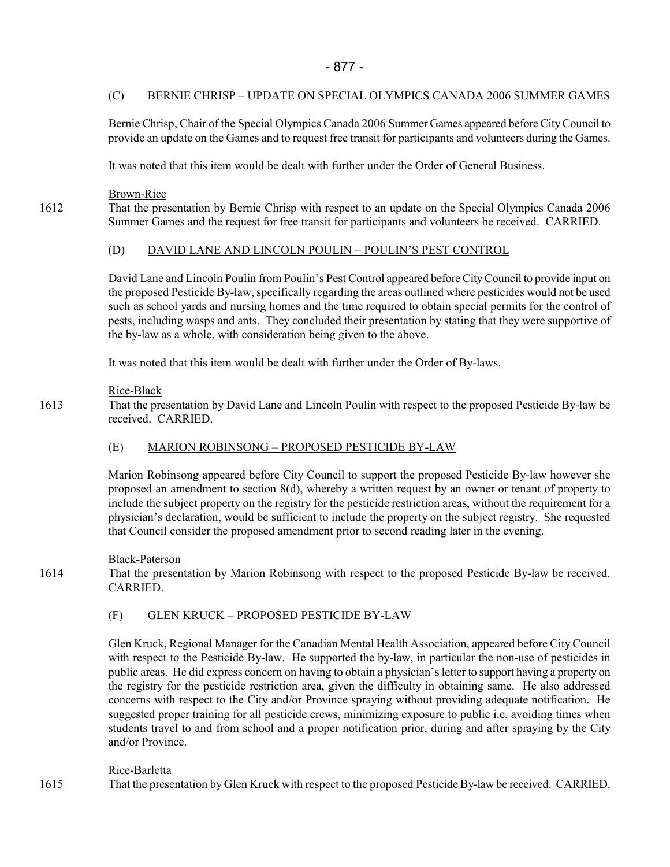# (C) BERNIE CHRISP – UPDATE ON SPECIAL OLYMPICS CANADA 2006 SUMMER GAMES

Bernie Chrisp, Chair of the Special Olympics Canada 2006 Summer Games appeared before City Council to provide an update on the Games and to request free transit for participants and volunteers during the Games.

It was noted that this item would be dealt with further under the Order of General Business.

Brown-Rice

1612 That the presentation by Bernie Chrisp with respect to an update on the Special Olympics Canada 2006 Summer Games and the request for free transit for participants and volunteers be received. CARRIED.

# (D) DAVID LANE AND LINCOLN POULIN – POULIN'S PEST CONTROL

David Lane and Lincoln Poulin from Poulin's Pest Control appeared before City Council to provide input on the proposed Pesticide By-law, specifically regarding the areas outlined where pesticides would not be used such as school yards and nursing homes and the time required to obtain special permits for the control of pests, including wasps and ants. They concluded their presentation by stating that they were supportive of the by-law as a whole, with consideration being given to the above.

It was noted that this item would be dealt with further under the Order of By-laws.

# Rice-Black

1613 That the presentation by David Lane and Lincoln Poulin with respect to the proposed Pesticide By-law be received. CARRIED.

# (E) MARION ROBINSONG – PROPOSED PESTICIDE BY-LAW

Marion Robinsong appeared before City Council to support the proposed Pesticide By-law however she proposed an amendment to section 8(d), whereby a written request by an owner or tenant of property to include the subject property on the registry for the pesticide restriction areas, without the requirement for a physician's declaration, would be sufficient to include the property on the subject registry. She requested that Council consider the proposed amendment prior to second reading later in the evening.

### Black-Paterson

1614 That the presentation by Marion Robinsong with respect to the proposed Pesticide By-law be received. CARRIED.

# (F) GLEN KRUCK – PROPOSED PESTICIDE BY-LAW

Glen Kruck, Regional Manager for the Canadian Mental Health Association, appeared before City Council with respect to the Pesticide By-law. He supported the by-law, in particular the non-use of pesticides in public areas. He did express concern on having to obtain a physician's letter to support having a property on the registry for the pesticide restriction area, given the difficulty in obtaining same. He also addressed concerns with respect to the City and/or Province spraying without providing adequate notification. He suggested proper training for all pesticide crews, minimizing exposure to public i.e. avoiding times when students travel to and from school and a proper notification prior, during and after spraying by the City and/or Province.

# Rice-Barletta

1615 That the presentation by Glen Kruck with respect to the proposed Pesticide By-law be received. CARRIED.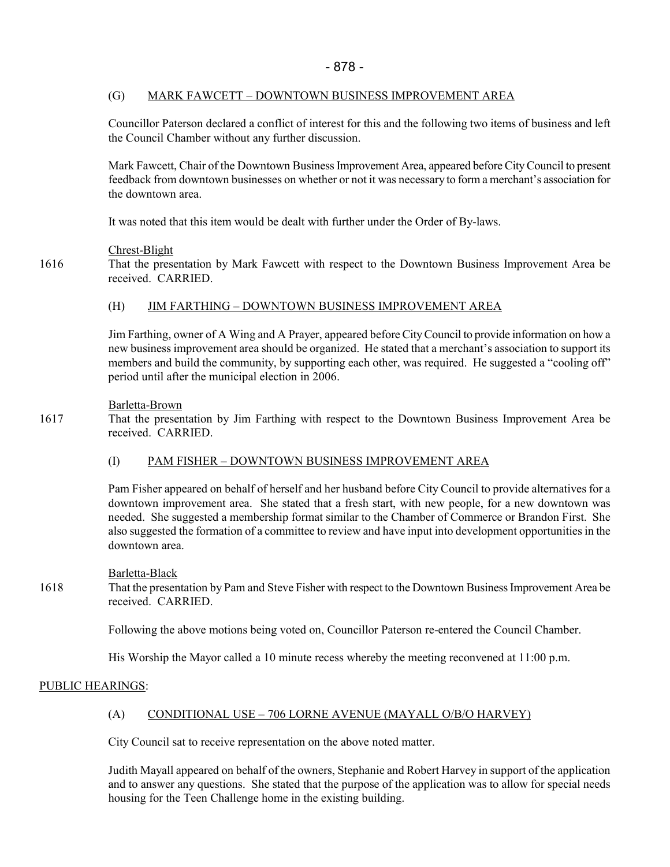## (G) MARK FAWCETT – DOWNTOWN BUSINESS IMPROVEMENT AREA

Councillor Paterson declared a conflict of interest for this and the following two items of business and left the Council Chamber without any further discussion.

Mark Fawcett, Chair of the Downtown Business Improvement Area, appeared before City Council to present feedback from downtown businesses on whether or not it was necessary to form a merchant's association for the downtown area.

It was noted that this item would be dealt with further under the Order of By-laws.

## Chrest-Blight

1616 That the presentation by Mark Fawcett with respect to the Downtown Business Improvement Area be received. CARRIED.

## (H) JIM FARTHING – DOWNTOWN BUSINESS IMPROVEMENT AREA

Jim Farthing, owner of A Wing and A Prayer, appeared before City Council to provide information on how a new business improvement area should be organized. He stated that a merchant's association to support its members and build the community, by supporting each other, was required. He suggested a "cooling off" period until after the municipal election in 2006.

### Barletta-Brown

1617 That the presentation by Jim Farthing with respect to the Downtown Business Improvement Area be received. CARRIED.

# (I) PAM FISHER – DOWNTOWN BUSINESS IMPROVEMENT AREA

Pam Fisher appeared on behalf of herself and her husband before City Council to provide alternatives for a downtown improvement area. She stated that a fresh start, with new people, for a new downtown was needed. She suggested a membership format similar to the Chamber of Commerce or Brandon First. She also suggested the formation of a committee to review and have input into development opportunities in the downtown area.

### Barletta-Black

1618 That the presentation by Pam and Steve Fisher with respect to the Downtown Business Improvement Area be received. CARRIED.

Following the above motions being voted on, Councillor Paterson re-entered the Council Chamber.

His Worship the Mayor called a 10 minute recess whereby the meeting reconvened at 11:00 p.m.

### PUBLIC HEARINGS:

# (A) CONDITIONAL USE – 706 LORNE AVENUE (MAYALL O/B/O HARVEY)

City Council sat to receive representation on the above noted matter.

Judith Mayall appeared on behalf of the owners, Stephanie and Robert Harvey in support of the application and to answer any questions. She stated that the purpose of the application was to allow for special needs housing for the Teen Challenge home in the existing building.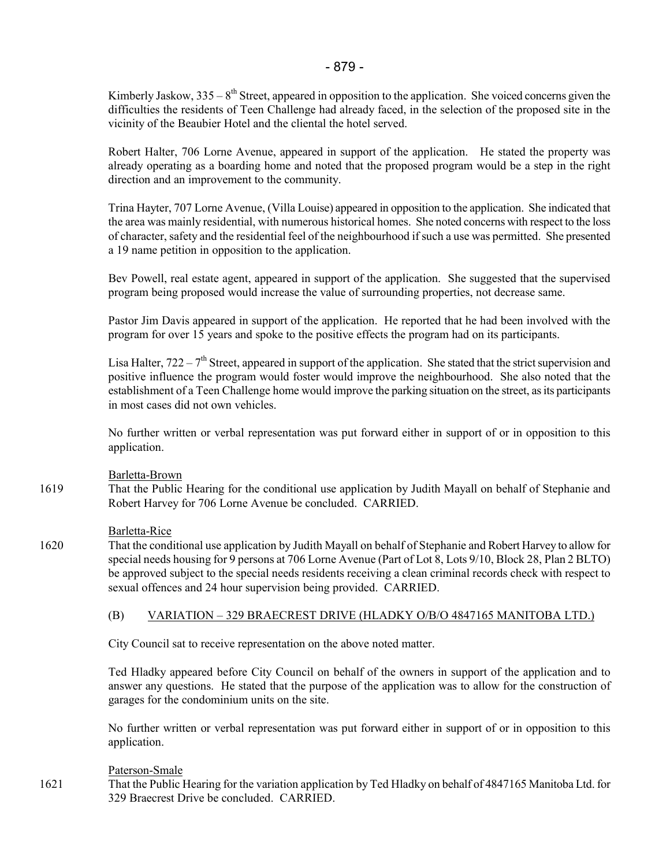Kimberly Jaskow,  $335 - 8$ <sup>th</sup> Street, appeared in opposition to the application. She voiced concerns given the difficulties the residents of Teen Challenge had already faced, in the selection of the proposed site in the vicinity of the Beaubier Hotel and the cliental the hotel served.

Robert Halter, 706 Lorne Avenue, appeared in support of the application. He stated the property was already operating as a boarding home and noted that the proposed program would be a step in the right direction and an improvement to the community.

Trina Hayter, 707 Lorne Avenue, (Villa Louise) appeared in opposition to the application. She indicated that the area was mainly residential, with numerous historical homes. She noted concerns with respect to the loss of character, safety and the residential feel of the neighbourhood if such a use was permitted. She presented a 19 name petition in opposition to the application.

Bev Powell, real estate agent, appeared in support of the application. She suggested that the supervised program being proposed would increase the value of surrounding properties, not decrease same.

Pastor Jim Davis appeared in support of the application. He reported that he had been involved with the program for over 15 years and spoke to the positive effects the program had on its participants.

Lisa Halter,  $722 - 7<sup>th</sup>$  Street, appeared in support of the application. She stated that the strict supervision and positive influence the program would foster would improve the neighbourhood. She also noted that the establishment of a Teen Challenge home would improve the parking situation on the street, as its participants in most cases did not own vehicles.

No further written or verbal representation was put forward either in support of or in opposition to this application.

#### Barletta-Brown

1619 That the Public Hearing for the conditional use application by Judith Mayall on behalf of Stephanie and Robert Harvey for 706 Lorne Avenue be concluded. CARRIED.

#### Barletta-Rice

1620 That the conditional use application by Judith Mayall on behalf of Stephanie and Robert Harvey to allow for special needs housing for 9 persons at 706 Lorne Avenue (Part of Lot 8, Lots 9/10, Block 28, Plan 2 BLTO) be approved subject to the special needs residents receiving a clean criminal records check with respect to sexual offences and 24 hour supervision being provided. CARRIED.

### (B) VARIATION – 329 BRAECREST DRIVE (HLADKY O/B/O 4847165 MANITOBA LTD.)

City Council sat to receive representation on the above noted matter.

Ted Hladky appeared before City Council on behalf of the owners in support of the application and to answer any questions. He stated that the purpose of the application was to allow for the construction of garages for the condominium units on the site.

No further written or verbal representation was put forward either in support of or in opposition to this application.

### Paterson-Smale

1621 That the Public Hearing for the variation application by Ted Hladky on behalf of 4847165 Manitoba Ltd. for 329 Braecrest Drive be concluded. CARRIED.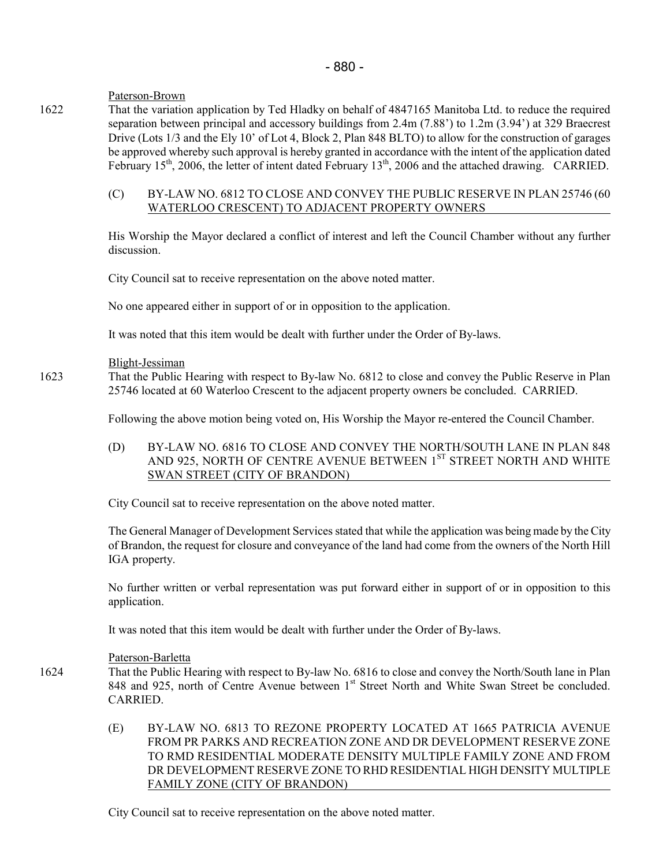## Paterson-Brown

1622 That the variation application by Ted Hladky on behalf of 4847165 Manitoba Ltd. to reduce the required separation between principal and accessory buildings from 2.4m (7.88') to 1.2m (3.94') at 329 Braecrest Drive (Lots 1/3 and the Ely 10' of Lot 4, Block 2, Plan 848 BLTO) to allow for the construction of garages be approved whereby such approval is hereby granted in accordance with the intent of the application dated February 15<sup>th</sup>, 2006, the letter of intent dated February 13<sup>th</sup>, 2006 and the attached drawing. CARRIED.

### (C) BY-LAW NO. 6812 TO CLOSE AND CONVEY THE PUBLIC RESERVE IN PLAN 25746 (60 WATERLOO CRESCENT) TO ADJACENT PROPERTY OWNERS

His Worship the Mayor declared a conflict of interest and left the Council Chamber without any further discussion.

City Council sat to receive representation on the above noted matter.

No one appeared either in support of or in opposition to the application.

It was noted that this item would be dealt with further under the Order of By-laws.

### Blight-Jessiman

1623 That the Public Hearing with respect to By-law No. 6812 to close and convey the Public Reserve in Plan 25746 located at 60 Waterloo Crescent to the adjacent property owners be concluded. CARRIED.

Following the above motion being voted on, His Worship the Mayor re-entered the Council Chamber.

## (D) BY-LAW NO. 6816 TO CLOSE AND CONVEY THE NORTH/SOUTH LANE IN PLAN 848 AND 925, NORTH OF CENTRE AVENUE BETWEEN 1<sup>ST</sup> STREET NORTH AND WHITE SWAN STREET (CITY OF BRANDON)

City Council sat to receive representation on the above noted matter.

The General Manager of Development Services stated that while the application was being made by the City of Brandon, the request for closure and conveyance of the land had come from the owners of the North Hill IGA property.

No further written or verbal representation was put forward either in support of or in opposition to this application.

It was noted that this item would be dealt with further under the Order of By-laws.

### Paterson-Barletta

1624 That the Public Hearing with respect to By-law No. 6816 to close and convey the North/South lane in Plan 848 and 925, north of Centre Avenue between 1<sup>st</sup> Street North and White Swan Street be concluded. CARRIED.

> (E) BY-LAW NO. 6813 TO REZONE PROPERTY LOCATED AT 1665 PATRICIA AVENUE FROM PR PARKS AND RECREATION ZONE AND DR DEVELOPMENT RESERVE ZONE TO RMD RESIDENTIAL MODERATE DENSITY MULTIPLE FAMILY ZONE AND FROM DR DEVELOPMENT RESERVE ZONE TO RHD RESIDENTIAL HIGH DENSITY MULTIPLE FAMILY ZONE (CITY OF BRANDON)

City Council sat to receive representation on the above noted matter.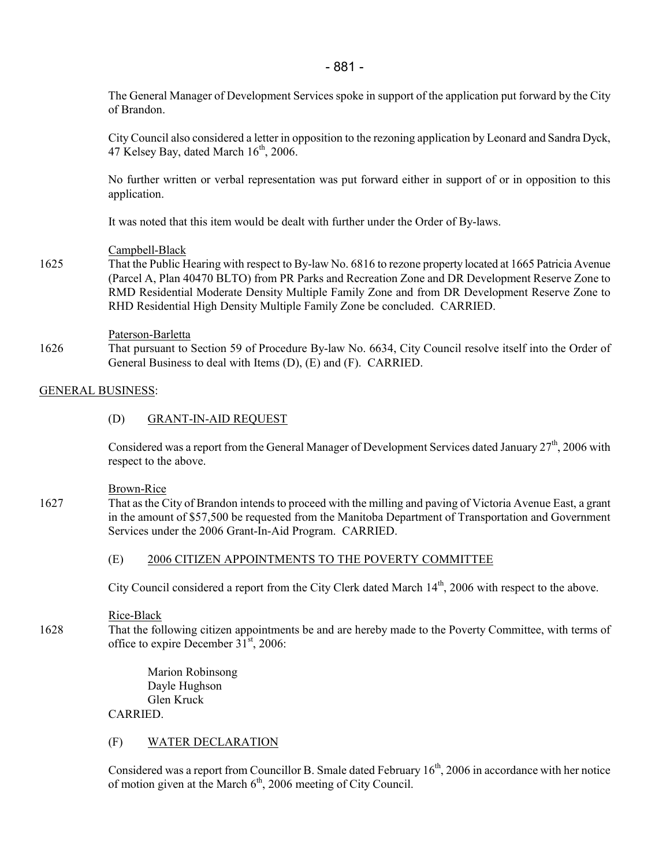The General Manager of Development Services spoke in support of the application put forward by the City of Brandon.

City Council also considered a letter in opposition to the rezoning application by Leonard and Sandra Dyck, 47 Kelsey Bay, dated March  $16^{th}$ , 2006.

No further written or verbal representation was put forward either in support of or in opposition to this application.

It was noted that this item would be dealt with further under the Order of By-laws.

#### Campbell-Black

1625 That the Public Hearing with respect to By-law No. 6816 to rezone property located at 1665 Patricia Avenue (Parcel A, Plan 40470 BLTO) from PR Parks and Recreation Zone and DR Development Reserve Zone to RMD Residential Moderate Density Multiple Family Zone and from DR Development Reserve Zone to RHD Residential High Density Multiple Family Zone be concluded. CARRIED.

#### Paterson-Barletta

1626 That pursuant to Section 59 of Procedure By-law No. 6634, City Council resolve itself into the Order of General Business to deal with Items (D), (E) and (F). CARRIED.

#### GENERAL BUSINESS:

#### (D) GRANT-IN-AID REQUEST

Considered was a report from the General Manager of Development Services dated January 27<sup>th</sup>, 2006 with respect to the above.

#### Brown-Rice

1627 That as the City of Brandon intends to proceed with the milling and paving of Victoria Avenue East, a grant in the amount of \$57,500 be requested from the Manitoba Department of Transportation and Government Services under the 2006 Grant-In-Aid Program. CARRIED.

#### (E) 2006 CITIZEN APPOINTMENTS TO THE POVERTY COMMITTEE

City Council considered a report from the City Clerk dated March 14<sup>th</sup>, 2006 with respect to the above.

#### Rice-Black

1628 That the following citizen appointments be and are hereby made to the Poverty Committee, with terms of office to expire December  $31<sup>st</sup>$ , 2006:

> Marion Robinsong Dayle Hughson Glen Kruck CARRIED.

#### (F) WATER DECLARATION

Considered was a report from Councillor B. Smale dated February 16<sup>th</sup>, 2006 in accordance with her notice of motion given at the March  $6<sup>th</sup>$ , 2006 meeting of City Council.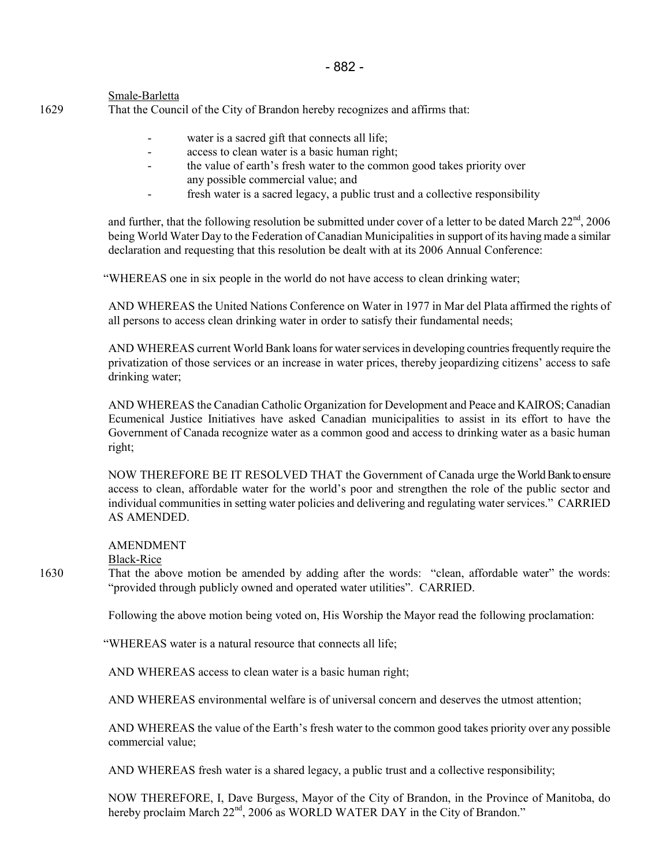### Smale-Barletta

1629 That the Council of the City of Brandon hereby recognizes and affirms that:

- water is a sacred gift that connects all life;
- access to clean water is a basic human right;
- the value of earth's fresh water to the common good takes priority over any possible commercial value; and
- fresh water is a sacred legacy, a public trust and a collective responsibility

and further, that the following resolution be submitted under cover of a letter to be dated March 22<sup>nd</sup>, 2006 being World Water Day to the Federation of Canadian Municipalities in support of its having made a similar declaration and requesting that this resolution be dealt with at its 2006 Annual Conference:

"WHEREAS one in six people in the world do not have access to clean drinking water;

AND WHEREAS the United Nations Conference on Water in 1977 in Mar del Plata affirmed the rights of all persons to access clean drinking water in order to satisfy their fundamental needs;

AND WHEREAS current World Bank loans for water services in developing countries frequently require the privatization of those services or an increase in water prices, thereby jeopardizing citizens' access to safe drinking water;

AND WHEREAS the Canadian Catholic Organization for Development and Peace and KAIROS; Canadian Ecumenical Justice Initiatives have asked Canadian municipalities to assist in its effort to have the Government of Canada recognize water as a common good and access to drinking water as a basic human right;

NOW THEREFORE BE IT RESOLVED THAT the Government of Canada urge the World Bank to ensure access to clean, affordable water for the world's poor and strengthen the role of the public sector and individual communities in setting water policies and delivering and regulating water services." CARRIED AS AMENDED.

AMENDMENT

Black-Rice

1630 That the above motion be amended by adding after the words: "clean, affordable water" the words: "provided through publicly owned and operated water utilities". CARRIED.

Following the above motion being voted on, His Worship the Mayor read the following proclamation:

"WHEREAS water is a natural resource that connects all life;

AND WHEREAS access to clean water is a basic human right;

AND WHEREAS environmental welfare is of universal concern and deserves the utmost attention;

AND WHEREAS the value of the Earth's fresh water to the common good takes priority over any possible commercial value;

AND WHEREAS fresh water is a shared legacy, a public trust and a collective responsibility;

NOW THEREFORE, I, Dave Burgess, Mayor of the City of Brandon, in the Province of Manitoba, do hereby proclaim March 22<sup>nd</sup>, 2006 as WORLD WATER DAY in the City of Brandon."